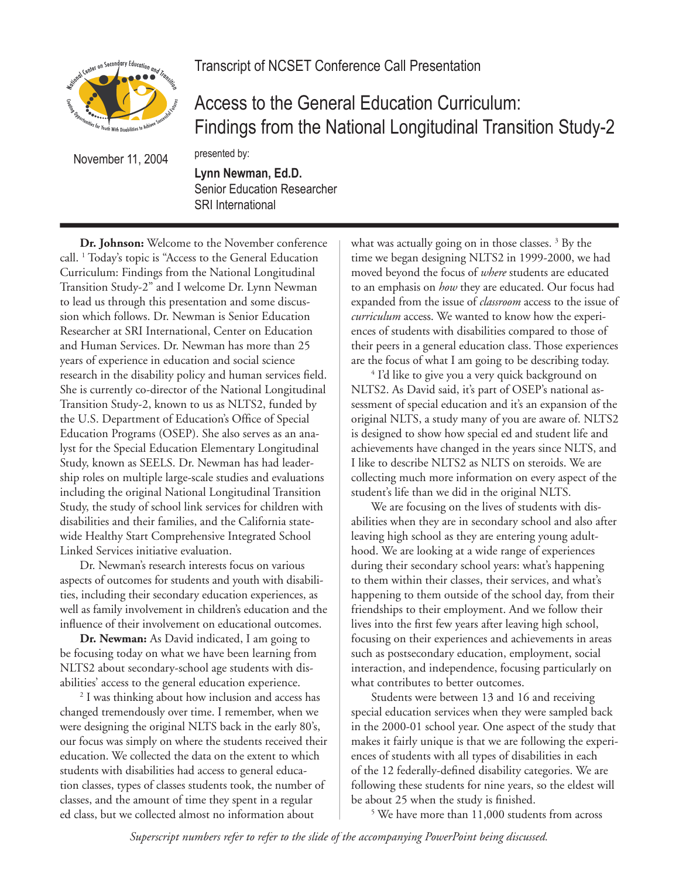isted Lenter on Secondary Education and Trans

Transcript of NCSET Conference Call Presentation

Access to the General Education Curriculum: Findings from the National Longitudinal Transition Study-2

November 11, 2004

**Lynn Newman, Ed.D.** Senior Education Researcher SRI International

presented by:

**Dr. Johnson:** Welcome to the November conference call. 1 Today's topic is "Access to the General Education Curriculum: Findings from the National Longitudinal Transition Study-2" and I welcome Dr. Lynn Newman to lead us through this presentation and some discussion which follows. Dr. Newman is Senior Education Researcher at SRI International, Center on Education and Human Services. Dr. Newman has more than 25 years of experience in education and social science research in the disability policy and human services field. She is currently co-director of the National Longitudinal Transition Study-2, known to us as NLTS2, funded by the U.S. Department of Education's Office of Special Education Programs (OSEP). She also serves as an analyst for the Special Education Elementary Longitudinal Study, known as SEELS. Dr. Newman has had leadership roles on multiple large-scale studies and evaluations including the original National Longitudinal Transition Study, the study of school link services for children with disabilities and their families, and the California statewide Healthy Start Comprehensive Integrated School Linked Services initiative evaluation.

Dr. Newman's research interests focus on various aspects of outcomes for students and youth with disabilities, including their secondary education experiences, as well as family involvement in children's education and the influence of their involvement on educational outcomes.

**Dr. Newman:** As David indicated, I am going to be focusing today on what we have been learning from NLTS2 about secondary-school age students with disabilities' access to the general education experience.

2 I was thinking about how inclusion and access has changed tremendously over time. I remember, when we were designing the original NLTS back in the early 80's, our focus was simply on where the students received their education. We collected the data on the extent to which students with disabilities had access to general education classes, types of classes students took, the number of classes, and the amount of time they spent in a regular ed class, but we collected almost no information about

what was actually going on in those classes.<sup>3</sup> By the time we began designing NLTS2 in 1999-2000, we had moved beyond the focus of *where* students are educated to an emphasis on *how* they are educated. Our focus had expanded from the issue of *classroom* access to the issue of *curriculum* access. We wanted to know how the experiences of students with disabilities compared to those of their peers in a general education class. Those experiences are the focus of what I am going to be describing today.

4 I'd like to give you a very quick background on NLTS2. As David said, it's part of OSEP's national assessment of special education and it's an expansion of the original NLTS, a study many of you are aware of. NLTS2 is designed to show how special ed and student life and achievements have changed in the years since NLTS, and I like to describe NLTS2 as NLTS on steroids. We are collecting much more information on every aspect of the student's life than we did in the original NLTS.

We are focusing on the lives of students with disabilities when they are in secondary school and also after leaving high school as they are entering young adulthood. We are looking at a wide range of experiences during their secondary school years: what's happening to them within their classes, their services, and what's happening to them outside of the school day, from their friendships to their employment. And we follow their lives into the first few years after leaving high school, focusing on their experiences and achievements in areas such as postsecondary education, employment, social interaction, and independence, focusing particularly on what contributes to better outcomes.

Students were between 13 and 16 and receiving special education services when they were sampled back in the 2000-01 school year. One aspect of the study that makes it fairly unique is that we are following the experiences of students with all types of disabilities in each of the 12 federally-defined disability categories. We are following these students for nine years, so the eldest will be about 25 when the study is finished.

5 We have more than 11,000 students from across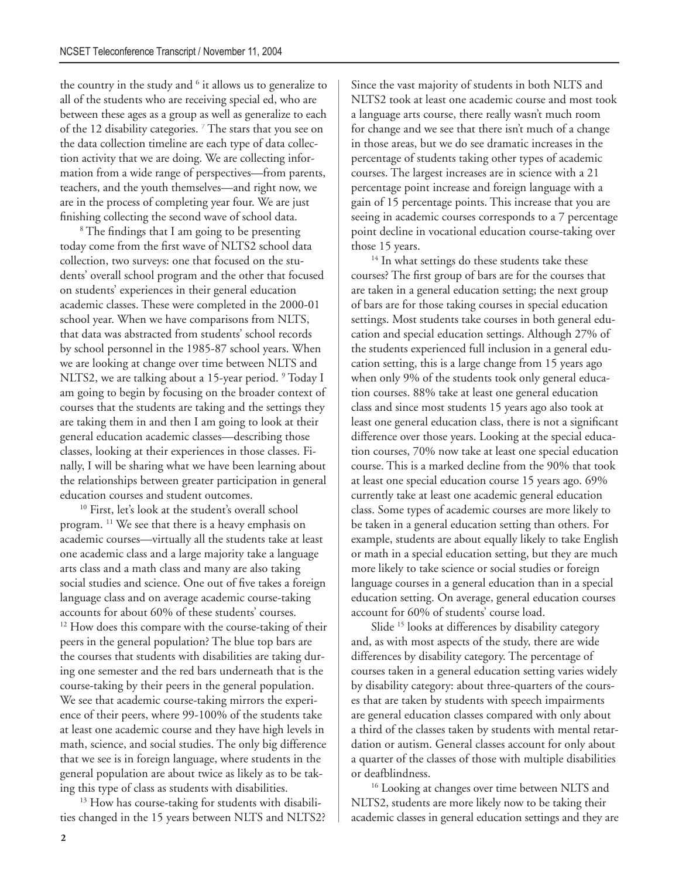the country in the study and <sup>6</sup> it allows us to generalize to all of the students who are receiving special ed, who are between these ages as a group as well as generalize to each of the 12 disability categories.<sup>7</sup> The stars that you see on the data collection timeline are each type of data collection activity that we are doing. We are collecting information from a wide range of perspectives—from parents, teachers, and the youth themselves—and right now, we are in the process of completing year four. We are just finishing collecting the second wave of school data.

<sup>8</sup> The findings that I am going to be presenting today come from the first wave of NLTS2 school data collection, two surveys: one that focused on the students' overall school program and the other that focused on students' experiences in their general education academic classes. These were completed in the 2000-01 school year. When we have comparisons from NLTS, that data was abstracted from students' school records by school personnel in the 1985-87 school years. When we are looking at change over time between NLTS and NLTS2, we are talking about a 15-year period. <sup>9</sup> Today I am going to begin by focusing on the broader context of courses that the students are taking and the settings they are taking them in and then I am going to look at their general education academic classes—describing those classes, looking at their experiences in those classes. Finally, I will be sharing what we have been learning about the relationships between greater participation in general education courses and student outcomes.

<sup>10</sup> First, let's look at the student's overall school program. 11 We see that there is a heavy emphasis on academic courses—virtually all the students take at least one academic class and a large majority take a language arts class and a math class and many are also taking social studies and science. One out of five takes a foreign language class and on average academic course-taking accounts for about 60% of these students' courses. <sup>12</sup> How does this compare with the course-taking of their peers in the general population? The blue top bars are the courses that students with disabilities are taking during one semester and the red bars underneath that is the course-taking by their peers in the general population. We see that academic course-taking mirrors the experience of their peers, where 99-100% of the students take at least one academic course and they have high levels in math, science, and social studies. The only big difference that we see is in foreign language, where students in the general population are about twice as likely as to be taking this type of class as students with disabilities.

<sup>13</sup> How has course-taking for students with disabilities changed in the 15 years between NLTS and NLTS2?

Since the vast majority of students in both NLTS and NLTS2 took at least one academic course and most took a language arts course, there really wasn't much room for change and we see that there isn't much of a change in those areas, but we do see dramatic increases in the percentage of students taking other types of academic courses. The largest increases are in science with a 21 percentage point increase and foreign language with a gain of 15 percentage points. This increase that you are seeing in academic courses corresponds to a 7 percentage point decline in vocational education course-taking over those 15 years.

<sup>14</sup> In what settings do these students take these courses? The first group of bars are for the courses that are taken in a general education setting; the next group of bars are for those taking courses in special education settings. Most students take courses in both general education and special education settings. Although 27% of the students experienced full inclusion in a general education setting, this is a large change from 15 years ago when only 9% of the students took only general education courses. 88% take at least one general education class and since most students 15 years ago also took at least one general education class, there is not a significant difference over those years. Looking at the special education courses, 70% now take at least one special education course. This is a marked decline from the 90% that took at least one special education course 15 years ago. 69% currently take at least one academic general education class. Some types of academic courses are more likely to be taken in a general education setting than others. For example, students are about equally likely to take English or math in a special education setting, but they are much more likely to take science or social studies or foreign language courses in a general education than in a special education setting. On average, general education courses account for 60% of students' course load.

Slide <sup>15</sup> looks at differences by disability category and, as with most aspects of the study, there are wide differences by disability category. The percentage of courses taken in a general education setting varies widely by disability category: about three-quarters of the courses that are taken by students with speech impairments are general education classes compared with only about a third of the classes taken by students with mental retardation or autism. General classes account for only about a quarter of the classes of those with multiple disabilities or deafblindness.

<sup>16</sup> Looking at changes over time between NLTS and NLTS2, students are more likely now to be taking their academic classes in general education settings and they are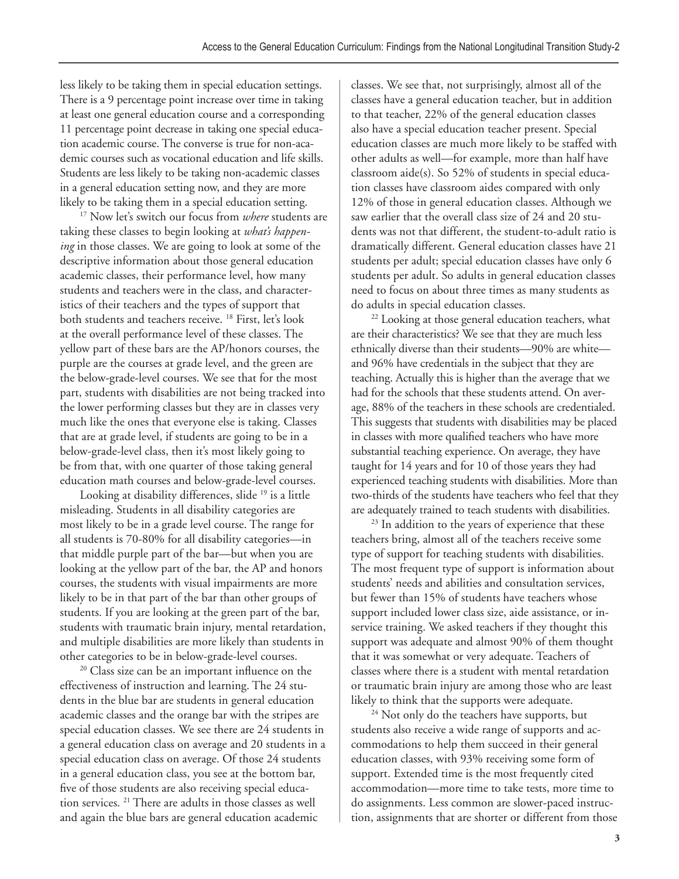less likely to be taking them in special education settings. There is a 9 percentage point increase over time in taking at least one general education course and a corresponding 11 percentage point decrease in taking one special education academic course. The converse is true for non-academic courses such as vocational education and life skills. Students are less likely to be taking non-academic classes in a general education setting now, and they are more likely to be taking them in a special education setting.

<sup>17</sup> Now let's switch our focus from *where* students are taking these classes to begin looking at *what's happening* in those classes. We are going to look at some of the descriptive information about those general education academic classes, their performance level, how many students and teachers were in the class, and characteristics of their teachers and the types of support that both students and teachers receive. 18 First, let's look at the overall performance level of these classes. The yellow part of these bars are the AP/honors courses, the purple are the courses at grade level, and the green are the below-grade-level courses. We see that for the most part, students with disabilities are not being tracked into the lower performing classes but they are in classes very much like the ones that everyone else is taking. Classes that are at grade level, if students are going to be in a below-grade-level class, then it's most likely going to be from that, with one quarter of those taking general education math courses and below-grade-level courses.

Looking at disability differences, slide <sup>19</sup> is a little misleading. Students in all disability categories are most likely to be in a grade level course. The range for all students is 70-80% for all disability categories—in that middle purple part of the bar—but when you are looking at the yellow part of the bar, the AP and honors courses, the students with visual impairments are more likely to be in that part of the bar than other groups of students. If you are looking at the green part of the bar, students with traumatic brain injury, mental retardation, and multiple disabilities are more likely than students in other categories to be in below-grade-level courses.

 $20$  Class size can be an important influence on the effectiveness of instruction and learning. The 24 students in the blue bar are students in general education academic classes and the orange bar with the stripes are special education classes. We see there are 24 students in a general education class on average and 20 students in a special education class on average. Of those 24 students in a general education class, you see at the bottom bar, five of those students are also receiving special education services. 21 There are adults in those classes as well and again the blue bars are general education academic

classes. We see that, not surprisingly, almost all of the classes have a general education teacher, but in addition to that teacher, 22% of the general education classes also have a special education teacher present. Special education classes are much more likely to be staffed with other adults as well—for example, more than half have classroom aide(s). So 52% of students in special education classes have classroom aides compared with only 12% of those in general education classes. Although we saw earlier that the overall class size of 24 and 20 students was not that different, the student-to-adult ratio is dramatically different. General education classes have 21 students per adult; special education classes have only 6 students per adult. So adults in general education classes need to focus on about three times as many students as do adults in special education classes.

<sup>22</sup> Looking at those general education teachers, what are their characteristics? We see that they are much less ethnically diverse than their students—90% are white and 96% have credentials in the subject that they are teaching. Actually this is higher than the average that we had for the schools that these students attend. On average, 88% of the teachers in these schools are credentialed. This suggests that students with disabilities may be placed in classes with more qualified teachers who have more substantial teaching experience. On average, they have taught for 14 years and for 10 of those years they had experienced teaching students with disabilities. More than two-thirds of the students have teachers who feel that they are adequately trained to teach students with disabilities.

<sup>23</sup> In addition to the years of experience that these teachers bring, almost all of the teachers receive some type of support for teaching students with disabilities. The most frequent type of support is information about students' needs and abilities and consultation services, but fewer than 15% of students have teachers whose support included lower class size, aide assistance, or inservice training. We asked teachers if they thought this support was adequate and almost 90% of them thought that it was somewhat or very adequate. Teachers of classes where there is a student with mental retardation or traumatic brain injury are among those who are least likely to think that the supports were adequate.

<sup>24</sup> Not only do the teachers have supports, but students also receive a wide range of supports and accommodations to help them succeed in their general education classes, with 93% receiving some form of support. Extended time is the most frequently cited accommodation—more time to take tests, more time to do assignments. Less common are slower-paced instruction, assignments that are shorter or different from those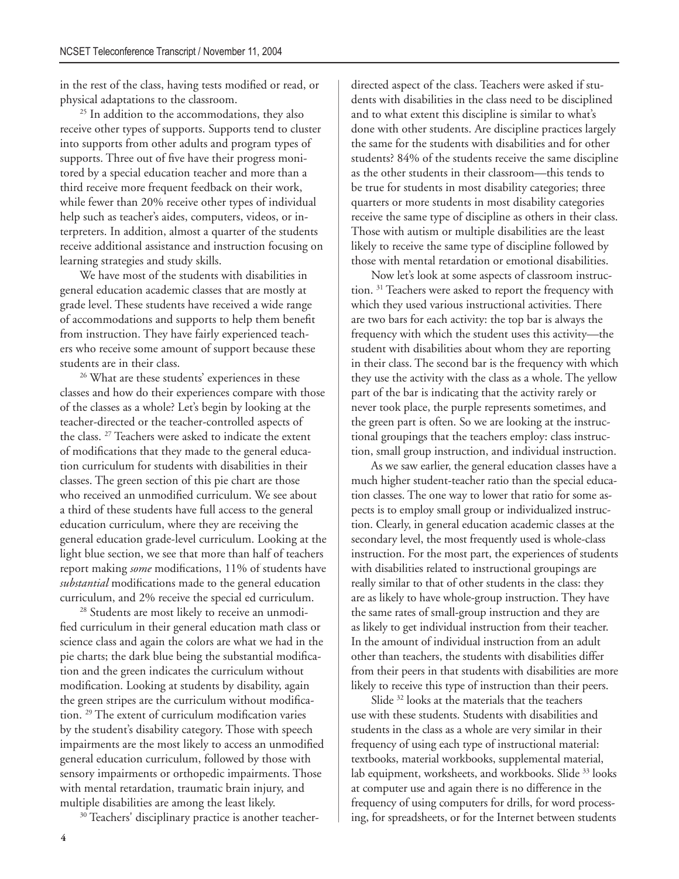in the rest of the class, having tests modified or read, or physical adaptations to the classroom.

<sup>25</sup> In addition to the accommodations, they also receive other types of supports. Supports tend to cluster into supports from other adults and program types of supports. Three out of five have their progress monitored by a special education teacher and more than a third receive more frequent feedback on their work, while fewer than 20% receive other types of individual help such as teacher's aides, computers, videos, or interpreters. In addition, almost a quarter of the students receive additional assistance and instruction focusing on learning strategies and study skills.

We have most of the students with disabilities in general education academic classes that are mostly at grade level. These students have received a wide range of accommodations and supports to help them benefit from instruction. They have fairly experienced teachers who receive some amount of support because these students are in their class.

<sup>26</sup> What are these students' experiences in these classes and how do their experiences compare with those of the classes as a whole? Let's begin by looking at the teacher-directed or the teacher-controlled aspects of the class. 27 Teachers were asked to indicate the extent of modifications that they made to the general education curriculum for students with disabilities in their classes. The green section of this pie chart are those who received an unmodified curriculum. We see about a third of these students have full access to the general education curriculum, where they are receiving the general education grade-level curriculum. Looking at the light blue section, we see that more than half of teachers report making *some* modifications, 11% of students have *substantial* modifications made to the general education curriculum, and 2% receive the special ed curriculum.

<sup>28</sup> Students are most likely to receive an unmodified curriculum in their general education math class or science class and again the colors are what we had in the pie charts; the dark blue being the substantial modification and the green indicates the curriculum without modification. Looking at students by disability, again the green stripes are the curriculum without modification. <sup>29</sup> The extent of curriculum modification varies by the student's disability category. Those with speech impairments are the most likely to access an unmodified general education curriculum, followed by those with sensory impairments or orthopedic impairments. Those with mental retardation, traumatic brain injury, and multiple disabilities are among the least likely.

<sup>30</sup> Teachers' disciplinary practice is another teacher-

directed aspect of the class. Teachers were asked if students with disabilities in the class need to be disciplined and to what extent this discipline is similar to what's done with other students. Are discipline practices largely the same for the students with disabilities and for other students? 84% of the students receive the same discipline as the other students in their classroom—this tends to be true for students in most disability categories; three quarters or more students in most disability categories receive the same type of discipline as others in their class. Those with autism or multiple disabilities are the least likely to receive the same type of discipline followed by those with mental retardation or emotional disabilities.

Now let's look at some aspects of classroom instruction. 31 Teachers were asked to report the frequency with which they used various instructional activities. There are two bars for each activity: the top bar is always the frequency with which the student uses this activity—the student with disabilities about whom they are reporting in their class. The second bar is the frequency with which they use the activity with the class as a whole. The yellow part of the bar is indicating that the activity rarely or never took place, the purple represents sometimes, and the green part is often. So we are looking at the instructional groupings that the teachers employ: class instruction, small group instruction, and individual instruction.

As we saw earlier, the general education classes have a much higher student-teacher ratio than the special education classes. The one way to lower that ratio for some aspects is to employ small group or individualized instruction. Clearly, in general education academic classes at the secondary level, the most frequently used is whole-class instruction. For the most part, the experiences of students with disabilities related to instructional groupings are really similar to that of other students in the class: they are as likely to have whole-group instruction. They have the same rates of small-group instruction and they are as likely to get individual instruction from their teacher. In the amount of individual instruction from an adult other than teachers, the students with disabilities differ from their peers in that students with disabilities are more likely to receive this type of instruction than their peers.

Slide <sup>32</sup> looks at the materials that the teachers use with these students. Students with disabilities and students in the class as a whole are very similar in their frequency of using each type of instructional material: textbooks, material workbooks, supplemental material, lab equipment, worksheets, and workbooks. Slide <sup>33</sup> looks at computer use and again there is no difference in the frequency of using computers for drills, for word processing, for spreadsheets, or for the Internet between students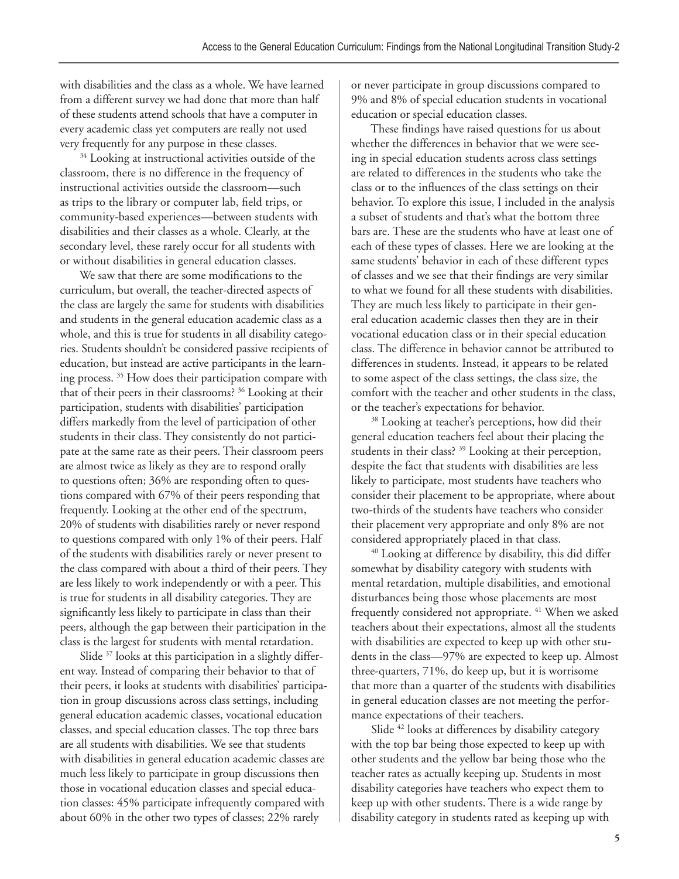with disabilities and the class as a whole. We have learned from a different survey we had done that more than half of these students attend schools that have a computer in every academic class yet computers are really not used very frequently for any purpose in these classes.

<sup>34</sup> Looking at instructional activities outside of the classroom, there is no difference in the frequency of instructional activities outside the classroom—such as trips to the library or computer lab, field trips, or community-based experiences—between students with disabilities and their classes as a whole. Clearly, at the secondary level, these rarely occur for all students with or without disabilities in general education classes.

We saw that there are some modifications to the curriculum, but overall, the teacher-directed aspects of the class are largely the same for students with disabilities and students in the general education academic class as a whole, and this is true for students in all disability categories. Students shouldn't be considered passive recipients of education, but instead are active participants in the learning process. 35 How does their participation compare with that of their peers in their classrooms? 36 Looking at their participation, students with disabilities' participation differs markedly from the level of participation of other students in their class. They consistently do not participate at the same rate as their peers. Their classroom peers are almost twice as likely as they are to respond orally to questions often; 36% are responding often to questions compared with 67% of their peers responding that frequently. Looking at the other end of the spectrum, 20% of students with disabilities rarely or never respond to questions compared with only 1% of their peers. Half of the students with disabilities rarely or never present to the class compared with about a third of their peers. They are less likely to work independently or with a peer. This is true for students in all disability categories. They are significantly less likely to participate in class than their peers, although the gap between their participation in the class is the largest for students with mental retardation.

Slide <sup>37</sup> looks at this participation in a slightly different way. Instead of comparing their behavior to that of their peers, it looks at students with disabilities' participation in group discussions across class settings, including general education academic classes, vocational education classes, and special education classes. The top three bars are all students with disabilities. We see that students with disabilities in general education academic classes are much less likely to participate in group discussions then those in vocational education classes and special education classes: 45% participate infrequently compared with about 60% in the other two types of classes; 22% rarely

or never participate in group discussions compared to 9% and 8% of special education students in vocational education or special education classes.

These findings have raised questions for us about whether the differences in behavior that we were seeing in special education students across class settings are related to differences in the students who take the class or to the influences of the class settings on their behavior. To explore this issue, I included in the analysis a subset of students and that's what the bottom three bars are. These are the students who have at least one of each of these types of classes. Here we are looking at the same students' behavior in each of these different types of classes and we see that their findings are very similar to what we found for all these students with disabilities. They are much less likely to participate in their general education academic classes then they are in their vocational education class or in their special education class. The difference in behavior cannot be attributed to differences in students. Instead, it appears to be related to some aspect of the class settings, the class size, the comfort with the teacher and other students in the class, or the teacher's expectations for behavior.

<sup>38</sup> Looking at teacher's perceptions, how did their general education teachers feel about their placing the students in their class? 39 Looking at their perception, despite the fact that students with disabilities are less likely to participate, most students have teachers who consider their placement to be appropriate, where about two-thirds of the students have teachers who consider their placement very appropriate and only 8% are not considered appropriately placed in that class.

40 Looking at difference by disability, this did differ somewhat by disability category with students with mental retardation, multiple disabilities, and emotional disturbances being those whose placements are most frequently considered not appropriate. <sup>41</sup> When we asked teachers about their expectations, almost all the students with disabilities are expected to keep up with other students in the class—97% are expected to keep up. Almost three-quarters, 71%, do keep up, but it is worrisome that more than a quarter of the students with disabilities in general education classes are not meeting the performance expectations of their teachers.

Slide <sup>42</sup> looks at differences by disability category with the top bar being those expected to keep up with other students and the yellow bar being those who the teacher rates as actually keeping up. Students in most disability categories have teachers who expect them to keep up with other students. There is a wide range by disability category in students rated as keeping up with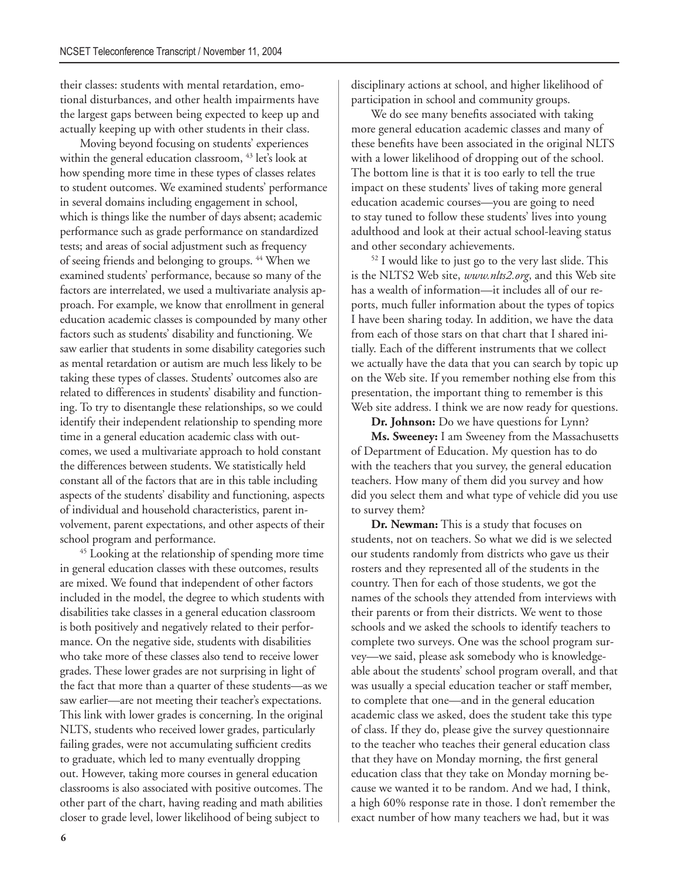their classes: students with mental retardation, emotional disturbances, and other health impairments have the largest gaps between being expected to keep up and actually keeping up with other students in their class.

Moving beyond focusing on students' experiences within the general education classroom, <sup>43</sup> let's look at how spending more time in these types of classes relates to student outcomes. We examined students' performance in several domains including engagement in school, which is things like the number of days absent; academic performance such as grade performance on standardized tests; and areas of social adjustment such as frequency of seeing friends and belonging to groups. 44 When we examined students' performance, because so many of the factors are interrelated, we used a multivariate analysis approach. For example, we know that enrollment in general education academic classes is compounded by many other factors such as students' disability and functioning. We saw earlier that students in some disability categories such as mental retardation or autism are much less likely to be taking these types of classes. Students' outcomes also are related to differences in students' disability and functioning. To try to disentangle these relationships, so we could identify their independent relationship to spending more time in a general education academic class with outcomes, we used a multivariate approach to hold constant the differences between students. We statistically held constant all of the factors that are in this table including aspects of the students' disability and functioning, aspects of individual and household characteristics, parent involvement, parent expectations, and other aspects of their school program and performance.

<sup>45</sup> Looking at the relationship of spending more time in general education classes with these outcomes, results are mixed. We found that independent of other factors included in the model, the degree to which students with disabilities take classes in a general education classroom is both positively and negatively related to their performance. On the negative side, students with disabilities who take more of these classes also tend to receive lower grades. These lower grades are not surprising in light of the fact that more than a quarter of these students—as we saw earlier—are not meeting their teacher's expectations. This link with lower grades is concerning. In the original NLTS, students who received lower grades, particularly failing grades, were not accumulating sufficient credits to graduate, which led to many eventually dropping out. However, taking more courses in general education classrooms is also associated with positive outcomes. The other part of the chart, having reading and math abilities closer to grade level, lower likelihood of being subject to

disciplinary actions at school, and higher likelihood of participation in school and community groups.

We do see many benefits associated with taking more general education academic classes and many of these benefits have been associated in the original NLTS with a lower likelihood of dropping out of the school. The bottom line is that it is too early to tell the true impact on these students' lives of taking more general education academic courses—you are going to need to stay tuned to follow these students' lives into young adulthood and look at their actual school-leaving status and other secondary achievements.

52 I would like to just go to the very last slide. This is the NLTS2 Web site, *www.nlts2.org*, and this Web site has a wealth of information—it includes all of our reports, much fuller information about the types of topics I have been sharing today. In addition, we have the data from each of those stars on that chart that I shared initially. Each of the different instruments that we collect we actually have the data that you can search by topic up on the Web site. If you remember nothing else from this presentation, the important thing to remember is this Web site address. I think we are now ready for questions.

**Dr. Johnson:** Do we have questions for Lynn?

**Ms. Sweeney:** I am Sweeney from the Massachusetts of Department of Education. My question has to do with the teachers that you survey, the general education teachers. How many of them did you survey and how did you select them and what type of vehicle did you use to survey them?

**Dr. Newman:** This is a study that focuses on students, not on teachers. So what we did is we selected our students randomly from districts who gave us their rosters and they represented all of the students in the country. Then for each of those students, we got the names of the schools they attended from interviews with their parents or from their districts. We went to those schools and we asked the schools to identify teachers to complete two surveys. One was the school program survey—we said, please ask somebody who is knowledgeable about the students' school program overall, and that was usually a special education teacher or staff member, to complete that one—and in the general education academic class we asked, does the student take this type of class. If they do, please give the survey questionnaire to the teacher who teaches their general education class that they have on Monday morning, the first general education class that they take on Monday morning because we wanted it to be random. And we had, I think, a high 60% response rate in those. I don't remember the exact number of how many teachers we had, but it was